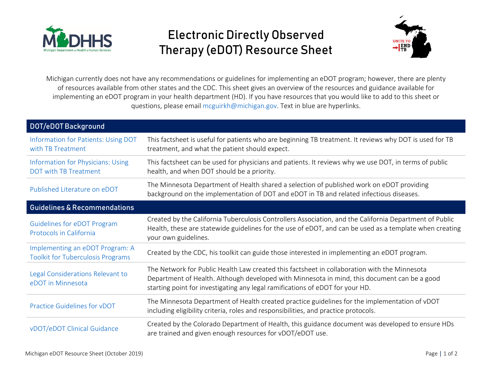

## Electronic Directly Observed Therapy (eDOT) Resource Sheet



Michigan currently does not have any recommendations or guidelines for implementing an eDOT program; however, there are plenty of resources available from other states and the CDC. This sheet gives an overview of the resources and guidance available for implementing an eDOT program in your health department (HD). If you have resources that you would like to add to this sheet or questions, please email [mcguirkh@michigan.gov.](mailto:mcguirkh@michigan.gov) Text in blue are hyperlinks.

| DOT/eDOT Background                                                         |                                                                                                                                                                                                                                                                               |
|-----------------------------------------------------------------------------|-------------------------------------------------------------------------------------------------------------------------------------------------------------------------------------------------------------------------------------------------------------------------------|
| Information for Patients: Using DOT<br>with TB Treatment                    | This factsheet is useful for patients who are beginning TB treatment. It reviews why DOT is used for TB<br>treatment, and what the patient should expect.                                                                                                                     |
| <b>Information for Physicians: Using</b><br><b>DOT with TB Treatment</b>    | This factsheet can be used for physicians and patients. It reviews why we use DOT, in terms of public<br>health, and when DOT should be a priority.                                                                                                                           |
| Published Literature on eDOT                                                | The Minnesota Department of Health shared a selection of published work on eDOT providing<br>background on the implementation of DOT and eDOT in TB and related infectious diseases.                                                                                          |
| <b>Guidelines &amp; Recommendations</b>                                     |                                                                                                                                                                                                                                                                               |
| <b>Guidelines for eDOT Program</b><br>Protocols in California               | Created by the California Tuberculosis Controllers Association, and the California Department of Public<br>Health, these are statewide guidelines for the use of eDOT, and can be used as a template when creating<br>your own guidelines.                                    |
| Implementing an eDOT Program: A<br><b>Toolkit for Tuberculosis Programs</b> | Created by the CDC, his toolkit can guide those interested in implementing an eDOT program.                                                                                                                                                                                   |
| Legal Considerations Relevant to<br>eDOT in Minnesota                       | The Network for Public Health Law created this factsheet in collaboration with the Minnesota<br>Department of Health. Although developed with Minnesota in mind, this document can be a good<br>starting point for investigating any legal ramifications of eDOT for your HD. |
| Practice Guidelines for vDOT                                                | The Minnesota Department of Health created practice guidelines for the implementation of vDOT<br>including eligibility criteria, roles and responsibilities, and practice protocols.                                                                                          |
| vDOT/eDOT Clinical Guidance                                                 | Created by the Colorado Department of Health, this guidance document was developed to ensure HDs<br>are trained and given enough resources for vDOT/eDOT use.                                                                                                                 |